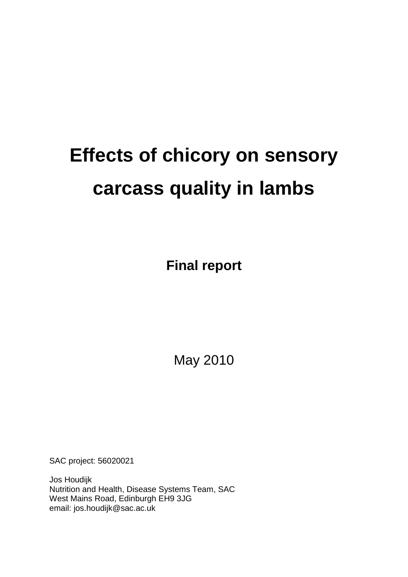# **Effects of chicory on sensory carcass quality in lambs**

**Final report**

May 2010

SAC project: 56020021

Jos Houdijk Nutrition and Health, Disease Systems Team, SAC West Mains Road, Edinburgh EH9 3JG email: jos.houdijk@sac.ac.uk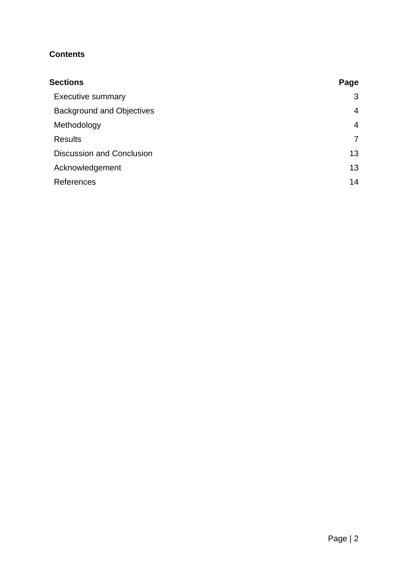# **Contents**

| <b>Sections</b>                  | Page |
|----------------------------------|------|
| <b>Executive summary</b>         | 3    |
| <b>Background and Objectives</b> | 4    |
| Methodology                      | 4    |
| <b>Results</b>                   | 7    |
| <b>Discussion and Conclusion</b> | 13   |
| Acknowledgement                  | 13   |
| <b>References</b>                | 14   |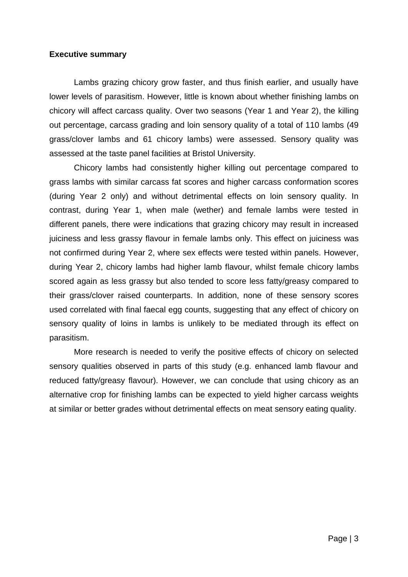## **Executive summary**

Lambs grazing chicory grow faster, and thus finish earlier, and usually have lower levels of parasitism. However, little is known about whether finishing lambs on chicory will affect carcass quality. Over two seasons (Year 1 and Year 2), the killing out percentage, carcass grading and loin sensory quality of a total of 110 lambs (49 grass/clover lambs and 61 chicory lambs) were assessed. Sensory quality was assessed at the taste panel facilities at Bristol University.

Chicory lambs had consistently higher killing out percentage compared to grass lambs with similar carcass fat scores and higher carcass conformation scores (during Year 2 only) and without detrimental effects on loin sensory quality. In contrast, during Year 1, when male (wether) and female lambs were tested in different panels, there were indications that grazing chicory may result in increased juiciness and less grassy flavour in female lambs only. This effect on juiciness was not confirmed during Year 2, where sex effects were tested within panels. However, during Year 2, chicory lambs had higher lamb flavour, whilst female chicory lambs scored again as less grassy but also tended to score less fatty/greasy compared to their grass/clover raised counterparts. In addition, none of these sensory scores used correlated with final faecal egg counts, suggesting that any effect of chicory on sensory quality of loins in lambs is unlikely to be mediated through its effect on parasitism.

More research is needed to verify the positive effects of chicory on selected sensory qualities observed in parts of this study (e.g. enhanced lamb flavour and reduced fatty/greasy flavour). However, we can conclude that using chicory as an alternative crop for finishing lambs can be expected to yield higher carcass weights at similar or better grades without detrimental effects on meat sensory eating quality.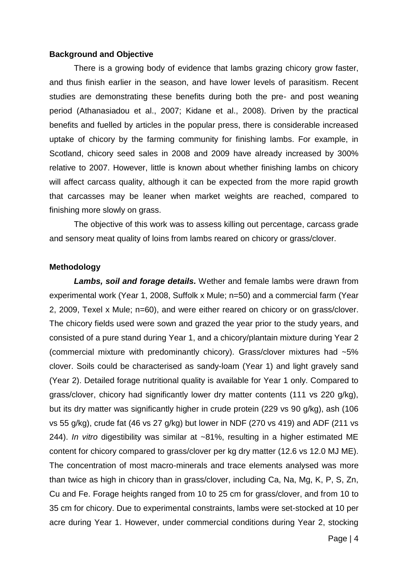#### **Background and Objective**

There is a growing body of evidence that lambs grazing chicory grow faster, and thus finish earlier in the season, and have lower levels of parasitism. Recent studies are demonstrating these benefits during both the pre- and post weaning period (Athanasiadou et al., 2007; Kidane et al., 2008). Driven by the practical benefits and fuelled by articles in the popular press, there is considerable increased uptake of chicory by the farming community for finishing lambs. For example, in Scotland, chicory seed sales in 2008 and 2009 have already increased by 300% relative to 2007. However, little is known about whether finishing lambs on chicory will affect carcass quality, although it can be expected from the more rapid growth that carcasses may be leaner when market weights are reached, compared to finishing more slowly on grass.

The objective of this work was to assess killing out percentage, carcass grade and sensory meat quality of loins from lambs reared on chicory or grass/clover.

### **Methodology**

*Lambs, soil and forage details.* Wether and female lambs were drawn from experimental work (Year 1, 2008, Suffolk x Mule; n=50) and a commercial farm (Year 2, 2009, Texel x Mule; n=60), and were either reared on chicory or on grass/clover. The chicory fields used were sown and grazed the year prior to the study years, and consisted of a pure stand during Year 1, and a chicory/plantain mixture during Year 2 (commercial mixture with predominantly chicory). Grass/clover mixtures had ~5% clover. Soils could be characterised as sandy-loam (Year 1) and light gravely sand (Year 2). Detailed forage nutritional quality is available for Year 1 only. Compared to grass/clover, chicory had significantly lower dry matter contents (111 vs 220 g/kg), but its dry matter was significantly higher in crude protein (229 vs 90 g/kg), ash (106 vs 55 g/kg), crude fat (46 vs 27 g/kg) but lower in NDF (270 vs 419) and ADF (211 vs 244). *In vitro* digestibility was similar at ~81%, resulting in a higher estimated ME content for chicory compared to grass/clover per kg dry matter (12.6 vs 12.0 MJ ME). The concentration of most macro-minerals and trace elements analysed was more than twice as high in chicory than in grass/clover, including Ca, Na, Mg, K, P, S, Zn, Cu and Fe. Forage heights ranged from 10 to 25 cm for grass/clover, and from 10 to 35 cm for chicory. Due to experimental constraints, lambs were set-stocked at 10 per acre during Year 1. However, under commercial conditions during Year 2, stocking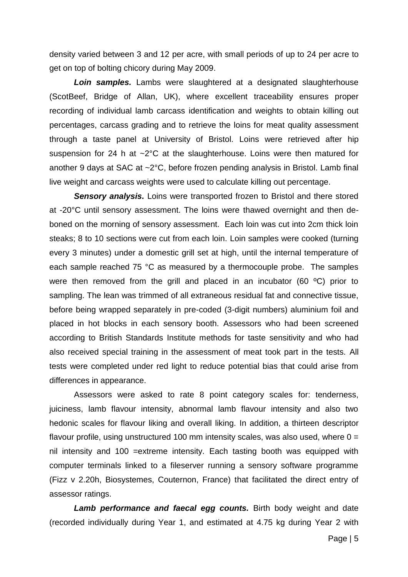density varied between 3 and 12 per acre, with small periods of up to 24 per acre to get on top of bolting chicory during May 2009.

*Loin samples.* Lambs were slaughtered at a designated slaughterhouse (ScotBeef, Bridge of Allan, UK), where excellent traceability ensures proper recording of individual lamb carcass identification and weights to obtain killing out percentages, carcass grading and to retrieve the loins for meat quality assessment through a taste panel at University of Bristol. Loins were retrieved after hip suspension for 24 h at ~2°C at the slaughterhouse. Loins were then matured for another 9 days at SAC at ~2°C, before frozen pending analysis in Bristol. Lamb final live weight and carcass weights were used to calculate killing out percentage.

*Sensory analysis.* Loins were transported frozen to Bristol and there stored at -20°C until sensory assessment. The loins were thawed overnight and then deboned on the morning of sensory assessment. Each loin was cut into 2cm thick loin steaks; 8 to 10 sections were cut from each loin. Loin samples were cooked (turning every 3 minutes) under a domestic grill set at high, until the internal temperature of each sample reached 75 °C as measured by a thermocouple probe. The samples were then removed from the grill and placed in an incubator (60 °C) prior to sampling. The lean was trimmed of all extraneous residual fat and connective tissue, before being wrapped separately in pre-coded (3-digit numbers) aluminium foil and placed in hot blocks in each sensory booth. Assessors who had been screened according to British Standards Institute methods for taste sensitivity and who had also received special training in the assessment of meat took part in the tests. All tests were completed under red light to reduce potential bias that could arise from differences in appearance.

Assessors were asked to rate 8 point category scales for: tenderness, juiciness, lamb flavour intensity, abnormal lamb flavour intensity and also two hedonic scales for flavour liking and overall liking. In addition, a thirteen descriptor flavour profile, using unstructured 100 mm intensity scales, was also used, where  $0 =$ nil intensity and 100 =extreme intensity. Each tasting booth was equipped with computer terminals linked to a fileserver running a sensory software programme (Fizz v 2.20h, Biosystemes, Couternon, France) that facilitated the direct entry of assessor ratings.

Lamb performance and faecal egg counts. Birth body weight and date (recorded individually during Year 1, and estimated at 4.75 kg during Year 2 with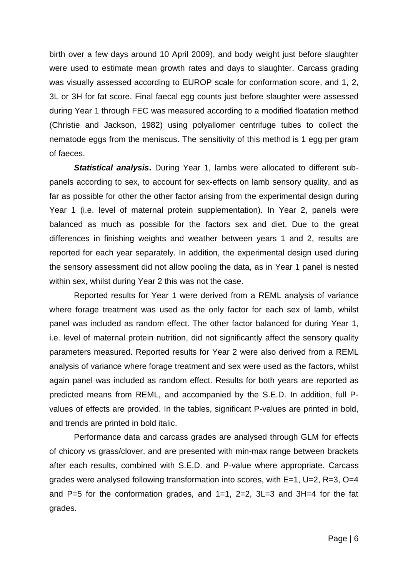birth over a few days around 10 April 2009), and body weight just before slaughter were used to estimate mean growth rates and days to slaughter. Carcass grading was visually assessed according to EUROP scale for conformation score, and 1, 2, 3L or 3H for fat score. Final faecal egg counts just before slaughter were assessed during Year 1 through FEC was measured according to a modified floatation method (Christie and Jackson, 1982) using polyallomer centrifuge tubes to collect the nematode eggs from the meniscus. The sensitivity of this method is 1 egg per gram of faeces.

*Statistical analysis***.** During Year 1, lambs were allocated to different subpanels according to sex, to account for sex-effects on lamb sensory quality, and as far as possible for other the other factor arising from the experimental design during Year 1 (i.e. level of maternal protein supplementation). In Year 2, panels were balanced as much as possible for the factors sex and diet. Due to the great differences in finishing weights and weather between years 1 and 2, results are reported for each year separately. In addition, the experimental design used during the sensory assessment did not allow pooling the data, as in Year 1 panel is nested within sex, whilst during Year 2 this was not the case.

Reported results for Year 1 were derived from a REML analysis of variance where forage treatment was used as the only factor for each sex of lamb, whilst panel was included as random effect. The other factor balanced for during Year 1, i.e. level of maternal protein nutrition, did not significantly affect the sensory quality parameters measured. Reported results for Year 2 were also derived from a REML analysis of variance where forage treatment and sex were used as the factors, whilst again panel was included as random effect. Results for both years are reported as predicted means from REML, and accompanied by the S.E.D. In addition, full Pvalues of effects are provided. In the tables, significant P-values are printed in bold, and trends are printed in bold italic.

Performance data and carcass grades are analysed through GLM for effects of chicory vs grass/clover, and are presented with min-max range between brackets after each results, combined with S.E.D. and P-value where appropriate. Carcass grades were analysed following transformation into scores, with E=1, U=2, R=3, O=4 and P=5 for the conformation grades, and  $1=1$ ,  $2=2$ ,  $3L=3$  and  $3H=4$  for the fat grades.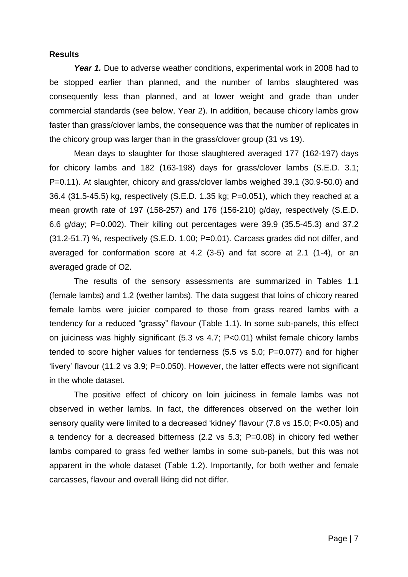#### **Results**

Year 1. Due to adverse weather conditions, experimental work in 2008 had to be stopped earlier than planned, and the number of lambs slaughtered was consequently less than planned, and at lower weight and grade than under commercial standards (see below, Year 2). In addition, because chicory lambs grow faster than grass/clover lambs, the consequence was that the number of replicates in the chicory group was larger than in the grass/clover group (31 vs 19).

Mean days to slaughter for those slaughtered averaged 177 (162-197) days for chicory lambs and 182 (163-198) days for grass/clover lambs (S.E.D. 3.1; P=0.11). At slaughter, chicory and grass/clover lambs weighed 39.1 (30.9-50.0) and 36.4 (31.5-45.5) kg, respectively (S.E.D. 1.35 kg; P=0.051), which they reached at a mean growth rate of 197 (158-257) and 176 (156-210) g/day, respectively (S.E.D. 6.6 g/day; P=0.002). Their killing out percentages were 39.9 (35.5-45.3) and 37.2 (31.2-51.7) %, respectively (S.E.D. 1.00; P=0.01). Carcass grades did not differ, and averaged for conformation score at 4.2 (3-5) and fat score at 2.1 (1-4), or an averaged grade of O2.

The results of the sensory assessments are summarized in Tables 1.1 (female lambs) and 1.2 (wether lambs). The data suggest that loins of chicory reared female lambs were juicier compared to those from grass reared lambs with a tendency for a reduced "grassy" flavour (Table 1.1). In some sub-panels, this effect on juiciness was highly significant (5.3 vs 4.7; P<0.01) whilst female chicory lambs tended to score higher values for tenderness (5.5 vs 5.0; P=0.077) and for higher "livery" flavour (11.2 vs 3.9; P=0.050). However, the latter effects were not significant in the whole dataset.

The positive effect of chicory on loin juiciness in female lambs was not observed in wether lambs. In fact, the differences observed on the wether loin sensory quality were limited to a decreased "kidney" flavour (7.8 vs 15.0; P<0.05) and a tendency for a decreased bitterness (2.2 vs 5.3; P=0.08) in chicory fed wether lambs compared to grass fed wether lambs in some sub-panels, but this was not apparent in the whole dataset (Table 1.2). Importantly, for both wether and female carcasses, flavour and overall liking did not differ.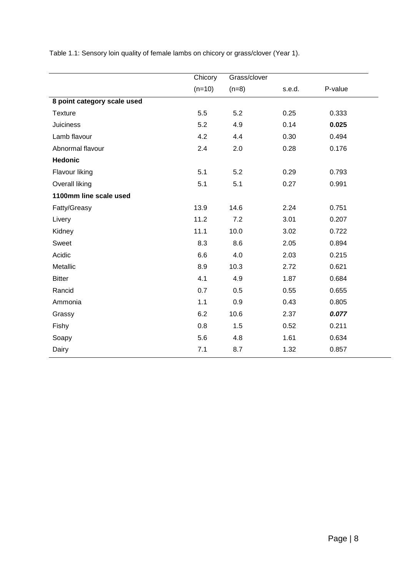|                             | Chicory  | Grass/clover |        |         |
|-----------------------------|----------|--------------|--------|---------|
|                             | $(n=10)$ | $(n=8)$      | s.e.d. | P-value |
| 8 point category scale used |          |              |        |         |
| <b>Texture</b>              | 5.5      | 5.2          | 0.25   | 0.333   |
| <b>Juiciness</b>            | 5.2      | 4.9          | 0.14   | 0.025   |
| Lamb flavour                | 4.2      | 4.4          | 0.30   | 0.494   |
| Abnormal flavour            | 2.4      | 2.0          | 0.28   | 0.176   |
| <b>Hedonic</b>              |          |              |        |         |
| Flavour liking              | 5.1      | 5.2          | 0.29   | 0.793   |
| Overall liking              | 5.1      | 5.1          | 0.27   | 0.991   |
| 1100mm line scale used      |          |              |        |         |
| Fatty/Greasy                | 13.9     | 14.6         | 2.24   | 0.751   |
| Livery                      | 11.2     | 7.2          | 3.01   | 0.207   |
| Kidney                      | 11.1     | 10.0         | 3.02   | 0.722   |
| Sweet                       | 8.3      | 8.6          | 2.05   | 0.894   |
| Acidic                      | 6.6      | 4.0          | 2.03   | 0.215   |
| Metallic                    | 8.9      | 10.3         | 2.72   | 0.621   |
| <b>Bitter</b>               | 4.1      | 4.9          | 1.87   | 0.684   |
| Rancid                      | 0.7      | 0.5          | 0.55   | 0.655   |
| Ammonia                     | 1.1      | 0.9          | 0.43   | 0.805   |
| Grassy                      | 6.2      | 10.6         | 2.37   | 0.077   |
| Fishy                       | 0.8      | 1.5          | 0.52   | 0.211   |
| Soapy                       | 5.6      | 4.8          | 1.61   | 0.634   |
| Dairy                       | 7.1      | 8.7          | 1.32   | 0.857   |

Table 1.1: Sensory loin quality of female lambs on chicory or grass/clover (Year 1).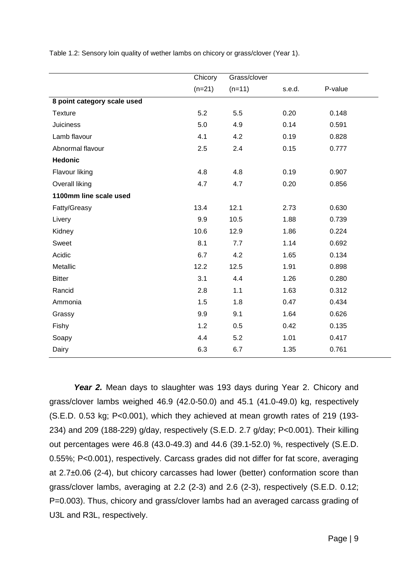|                             | Chicory  | Grass/clover |        |         |
|-----------------------------|----------|--------------|--------|---------|
|                             | $(n=21)$ | $(n=11)$     | s.e.d. | P-value |
| 8 point category scale used |          |              |        |         |
| <b>Texture</b>              | 5.2      | 5.5          | 0.20   | 0.148   |
| <b>Juiciness</b>            | 5.0      | 4.9          | 0.14   | 0.591   |
| Lamb flavour                | 4.1      | 4.2          | 0.19   | 0.828   |
| Abnormal flavour            | 2.5      | 2.4          | 0.15   | 0.777   |
| <b>Hedonic</b>              |          |              |        |         |
| Flavour liking              | 4.8      | 4.8          | 0.19   | 0.907   |
| Overall liking              | 4.7      | 4.7          | 0.20   | 0.856   |
| 1100mm line scale used      |          |              |        |         |
| Fatty/Greasy                | 13.4     | 12.1         | 2.73   | 0.630   |
| Livery                      | 9.9      | 10.5         | 1.88   | 0.739   |
| Kidney                      | 10.6     | 12.9         | 1.86   | 0.224   |
| Sweet                       | 8.1      | 7.7          | 1.14   | 0.692   |
| Acidic                      | 6.7      | 4.2          | 1.65   | 0.134   |
| Metallic                    | 12.2     | 12.5         | 1.91   | 0.898   |
| <b>Bitter</b>               | 3.1      | 4.4          | 1.26   | 0.280   |
| Rancid                      | 2.8      | 1.1          | 1.63   | 0.312   |
| Ammonia                     | 1.5      | 1.8          | 0.47   | 0.434   |
| Grassy                      | 9.9      | 9.1          | 1.64   | 0.626   |
| Fishy                       | 1.2      | 0.5          | 0.42   | 0.135   |
| Soapy                       | 4.4      | 5.2          | 1.01   | 0.417   |
| Dairy                       | 6.3      | 6.7          | 1.35   | 0.761   |

Table 1.2: Sensory loin quality of wether lambs on chicory or grass/clover (Year 1).

Year 2. Mean days to slaughter was 193 days during Year 2. Chicory and grass/clover lambs weighed 46.9 (42.0-50.0) and 45.1 (41.0-49.0) kg, respectively (S.E.D. 0.53 kg; P<0.001), which they achieved at mean growth rates of 219 (193- 234) and 209 (188-229) g/day, respectively (S.E.D. 2.7 g/day; P<0.001). Their killing out percentages were 46.8 (43.0-49.3) and 44.6 (39.1-52.0) %, respectively (S.E.D. 0.55%; P<0.001), respectively. Carcass grades did not differ for fat score, averaging at 2.7±0.06 (2-4), but chicory carcasses had lower (better) conformation score than grass/clover lambs, averaging at 2.2 (2-3) and 2.6 (2-3), respectively (S.E.D. 0.12; P=0.003). Thus, chicory and grass/clover lambs had an averaged carcass grading of U3L and R3L, respectively.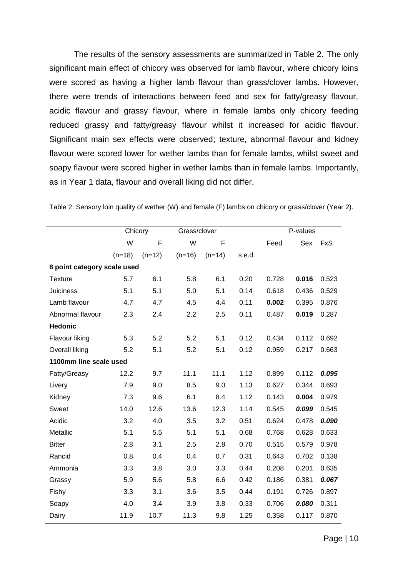The results of the sensory assessments are summarized in Table 2. The only significant main effect of chicory was observed for lamb flavour, where chicory loins were scored as having a higher lamb flavour than grass/clover lambs. However, there were trends of interactions between feed and sex for fatty/greasy flavour, acidic flavour and grassy flavour, where in female lambs only chicory feeding reduced grassy and fatty/greasy flavour whilst it increased for acidic flavour. Significant main sex effects were observed; texture, abnormal flavour and kidney flavour were scored lower for wether lambs than for female lambs, whilst sweet and soapy flavour were scored higher in wether lambs than in female lambs. Importantly, as in Year 1 data, flavour and overall liking did not differ.

|                             | Chicory  |          | Grass/clover |          |        | P-values |       |            |
|-----------------------------|----------|----------|--------------|----------|--------|----------|-------|------------|
|                             | W        | F        | W            | F        |        | Feed     | Sex   | <b>FxS</b> |
|                             | $(n=18)$ | $(n=12)$ | $(n=16)$     | $(n=14)$ | s.e.d. |          |       |            |
| 8 point category scale used |          |          |              |          |        |          |       |            |
| <b>Texture</b>              | 5.7      | 6.1      | 5.8          | 6.1      | 0.20   | 0.728    | 0.016 | 0.523      |
| <b>Juiciness</b>            | 5.1      | 5.1      | 5.0          | 5.1      | 0.14   | 0.618    | 0.436 | 0.529      |
| Lamb flavour                | 4.7      | 4.7      | 4.5          | 4.4      | 0.11   | 0.002    | 0.395 | 0.876      |
| Abnormal flavour            | 2.3      | 2.4      | 2.2          | 2.5      | 0.11   | 0.487    | 0.019 | 0.287      |
| <b>Hedonic</b>              |          |          |              |          |        |          |       |            |
| Flavour liking              | 5.3      | 5.2      | 5.2          | 5.1      | 0.12   | 0.434    | 0.112 | 0.692      |
| Overall liking              | 5.2      | 5.1      | 5.2          | 5.1      | 0.12   | 0.959    | 0.217 | 0.663      |
| 1100mm line scale used      |          |          |              |          |        |          |       |            |
| Fatty/Greasy                | 12.2     | 9.7      | 11.1         | 11.1     | 1.12   | 0.899    | 0.112 | 0.095      |
| Livery                      | 7.9      | 9.0      | 8.5          | 9.0      | 1.13   | 0.627    | 0.344 | 0.693      |
| Kidney                      | 7.3      | 9.6      | 6.1          | 8.4      | 1.12   | 0.143    | 0.004 | 0.979      |
| Sweet                       | 14.0     | 12.6     | 13.6         | 12.3     | 1.14   | 0.545    | 0.099 | 0.545      |
| Acidic                      | 3.2      | 4.0      | 3.5          | 3.2      | 0.51   | 0.624    | 0.478 | 0.090      |
| Metallic                    | 5.1      | 5.5      | 5.1          | 5.1      | 0.68   | 0.768    | 0.628 | 0.633      |
| <b>Bitter</b>               | 2.8      | 3.1      | 2.5          | 2.8      | 0.70   | 0.515    | 0.579 | 0.978      |
| Rancid                      | 0.8      | 0.4      | 0.4          | 0.7      | 0.31   | 0.643    | 0.702 | 0.138      |
| Ammonia                     | 3.3      | 3.8      | 3.0          | 3.3      | 0.44   | 0.208    | 0.201 | 0.635      |
| Grassy                      | 5.9      | 5.6      | 5.8          | 6.6      | 0.42   | 0.186    | 0.381 | 0.067      |
| Fishy                       | 3.3      | 3.1      | 3.6          | 3.5      | 0.44   | 0.191    | 0.726 | 0.897      |
| Soapy                       | 4.0      | 3.4      | 3.9          | 3.8      | 0.33   | 0.706    | 0.080 | 0.311      |
| Dairy                       | 11.9     | 10.7     | 11.3         | 9.8      | 1.25   | 0.358    | 0.117 | 0.870      |

Table 2: Sensory loin quality of wether (W) and female (F) lambs on chicory or grass/clover (Year 2).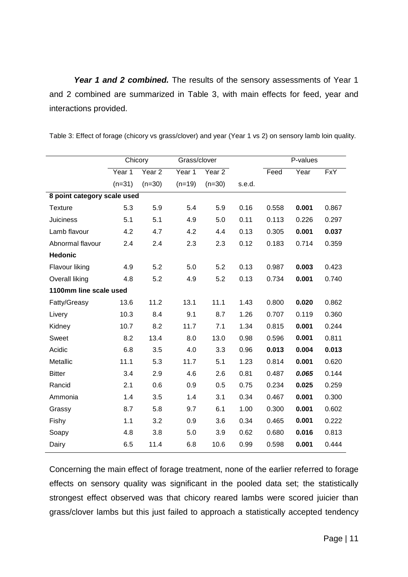Year 1 and 2 combined. The results of the sensory assessments of Year 1 and 2 combined are summarized in Table 3, with main effects for feed, year and interactions provided.

|                             | Chicory  |                   | Grass/clover |          |        | P-values |       |            |
|-----------------------------|----------|-------------------|--------------|----------|--------|----------|-------|------------|
|                             | Year 1   | Year <sub>2</sub> | Year 1       | Year 2   |        | Feed     | Year  | <b>FxY</b> |
|                             | $(n=31)$ | $(n=30)$          | $(n=19)$     | $(n=30)$ | s.e.d. |          |       |            |
| 8 point category scale used |          |                   |              |          |        |          |       |            |
| <b>Texture</b>              | 5.3      | 5.9               | 5.4          | 5.9      | 0.16   | 0.558    | 0.001 | 0.867      |
| <b>Juiciness</b>            | 5.1      | 5.1               | 4.9          | 5.0      | 0.11   | 0.113    | 0.226 | 0.297      |
| Lamb flavour                | 4.2      | 4.7               | 4.2          | 4.4      | 0.13   | 0.305    | 0.001 | 0.037      |
| Abnormal flavour            | 2.4      | 2.4               | 2.3          | 2.3      | 0.12   | 0.183    | 0.714 | 0.359      |
| <b>Hedonic</b>              |          |                   |              |          |        |          |       |            |
| Flavour liking              | 4.9      | 5.2               | 5.0          | 5.2      | 0.13   | 0.987    | 0.003 | 0.423      |
| Overall liking              | 4.8      | 5.2               | 4.9          | 5.2      | 0.13   | 0.734    | 0.001 | 0.740      |
| 1100mm line scale used      |          |                   |              |          |        |          |       |            |
| Fatty/Greasy                | 13.6     | 11.2              | 13.1         | 11.1     | 1.43   | 0.800    | 0.020 | 0.862      |
| Livery                      | 10.3     | 8.4               | 9.1          | 8.7      | 1.26   | 0.707    | 0.119 | 0.360      |
| Kidney                      | 10.7     | 8.2               | 11.7         | 7.1      | 1.34   | 0.815    | 0.001 | 0.244      |
| Sweet                       | 8.2      | 13.4              | 8.0          | 13.0     | 0.98   | 0.596    | 0.001 | 0.811      |
| Acidic                      | 6.8      | 3.5               | 4.0          | 3.3      | 0.96   | 0.013    | 0.004 | 0.013      |
| Metallic                    | 11.1     | 5.3               | 11.7         | 5.1      | 1.23   | 0.814    | 0.001 | 0.620      |
| <b>Bitter</b>               | 3.4      | 2.9               | 4.6          | 2.6      | 0.81   | 0.487    | 0.065 | 0.144      |
| Rancid                      | 2.1      | 0.6               | 0.9          | 0.5      | 0.75   | 0.234    | 0.025 | 0.259      |
| Ammonia                     | 1.4      | 3.5               | 1.4          | 3.1      | 0.34   | 0.467    | 0.001 | 0.300      |
| Grassy                      | 8.7      | 5.8               | 9.7          | 6.1      | 1.00   | 0.300    | 0.001 | 0.602      |
| Fishy                       | 1.1      | 3.2               | 0.9          | 3.6      | 0.34   | 0.465    | 0.001 | 0.222      |
| Soapy                       | 4.8      | 3.8               | 5.0          | 3.9      | 0.62   | 0.680    | 0.016 | 0.813      |
| Dairy                       | 6.5      | 11.4              | 6.8          | 10.6     | 0.99   | 0.598    | 0.001 | 0.444      |

Table 3: Effect of forage (chicory vs grass/clover) and year (Year 1 vs 2) on sensory lamb loin quality.

Concerning the main effect of forage treatment, none of the earlier referred to forage effects on sensory quality was significant in the pooled data set; the statistically strongest effect observed was that chicory reared lambs were scored juicier than grass/clover lambs but this just failed to approach a statistically accepted tendency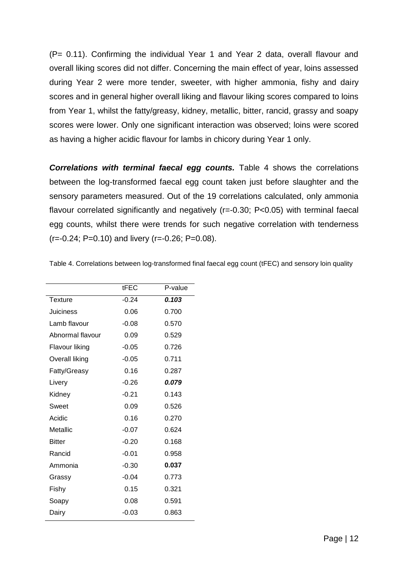(P= 0.11). Confirming the individual Year 1 and Year 2 data, overall flavour and overall liking scores did not differ. Concerning the main effect of year, loins assessed during Year 2 were more tender, sweeter, with higher ammonia, fishy and dairy scores and in general higher overall liking and flavour liking scores compared to loins from Year 1, whilst the fatty/greasy, kidney, metallic, bitter, rancid, grassy and soapy scores were lower. Only one significant interaction was observed; loins were scored as having a higher acidic flavour for lambs in chicory during Year 1 only.

**Correlations with terminal faecal egg counts.** Table 4 shows the correlations between the log-transformed faecal egg count taken just before slaughter and the sensory parameters measured. Out of the 19 correlations calculated, only ammonia flavour correlated significantly and negatively (r=-0.30; P<0.05) with terminal faecal egg counts, whilst there were trends for such negative correlation with tenderness  $(r=-0.24; P=0.10)$  and livery  $(r=-0.26; P=0.08)$ .

|                  | tFEC    | P-value |
|------------------|---------|---------|
| Texture          | $-0.24$ | 0.103   |
| Juiciness        | 0.06    | 0.700   |
| Lamb flavour     | $-0.08$ | 0.570   |
| Abnormal flavour | 0.09    | 0.529   |
| Flavour liking   | $-0.05$ | 0.726   |
| Overall liking   | $-0.05$ | 0.711   |
| Fatty/Greasy     | 0.16    | 0.287   |
| Livery           | $-0.26$ | 0.079   |
| Kidney           | $-0.21$ | 0.143   |
| Sweet            | 0.09    | 0.526   |
| Acidic           | 0.16    | 0.270   |
| Metallic         | $-0.07$ | 0.624   |
| <b>Bitter</b>    | $-0.20$ | 0.168   |
| Rancid           | $-0.01$ | 0.958   |
| Ammonia          | $-0.30$ | 0.037   |
| Grassy           | $-0.04$ | 0.773   |
| Fishy            | 0.15    | 0.321   |
| Soapy            | 0.08    | 0.591   |
| Dairy            | $-0.03$ | 0.863   |

Table 4. Correlations between log-transformed final faecal egg count (tFEC) and sensory loin quality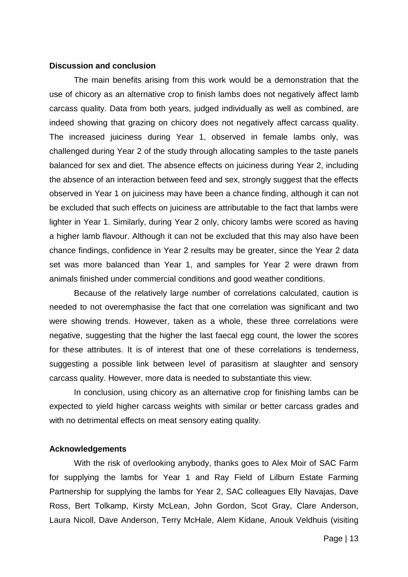#### **Discussion and conclusion**

The main benefits arising from this work would be a demonstration that the use of chicory as an alternative crop to finish lambs does not negatively affect lamb carcass quality. Data from both years, judged individually as well as combined, are indeed showing that grazing on chicory does not negatively affect carcass quality. The increased juiciness during Year 1, observed in female lambs only, was challenged during Year 2 of the study through allocating samples to the taste panels balanced for sex and diet. The absence effects on juiciness during Year 2, including the absence of an interaction between feed and sex, strongly suggest that the effects observed in Year 1 on juiciness may have been a chance finding, although it can not be excluded that such effects on juiciness are attributable to the fact that lambs were lighter in Year 1. Similarly, during Year 2 only, chicory lambs were scored as having a higher lamb flavour. Although it can not be excluded that this may also have been chance findings, confidence in Year 2 results may be greater, since the Year 2 data set was more balanced than Year 1, and samples for Year 2 were drawn from animals finished under commercial conditions and good weather conditions.

Because of the relatively large number of correlations calculated, caution is needed to not overemphasise the fact that one correlation was significant and two were showing trends. However, taken as a whole, these three correlations were negative, suggesting that the higher the last faecal egg count, the lower the scores for these attributes. It is of interest that one of these correlations is tenderness, suggesting a possible link between level of parasitism at slaughter and sensory carcass quality. However, more data is needed to substantiate this view.

In conclusion, using chicory as an alternative crop for finishing lambs can be expected to yield higher carcass weights with similar or better carcass grades and with no detrimental effects on meat sensory eating quality.

#### **Acknowledgements**

With the risk of overlooking anybody, thanks goes to Alex Moir of SAC Farm for supplying the lambs for Year 1 and Ray Field of Lilburn Estate Farming Partnership for supplying the lambs for Year 2, SAC colleagues Elly Navajas, Dave Ross, Bert Tolkamp, Kirsty McLean, John Gordon, Scot Gray, Clare Anderson, Laura Nicoll, Dave Anderson, Terry McHale, Alem Kidane, Anouk Veldhuis (visiting